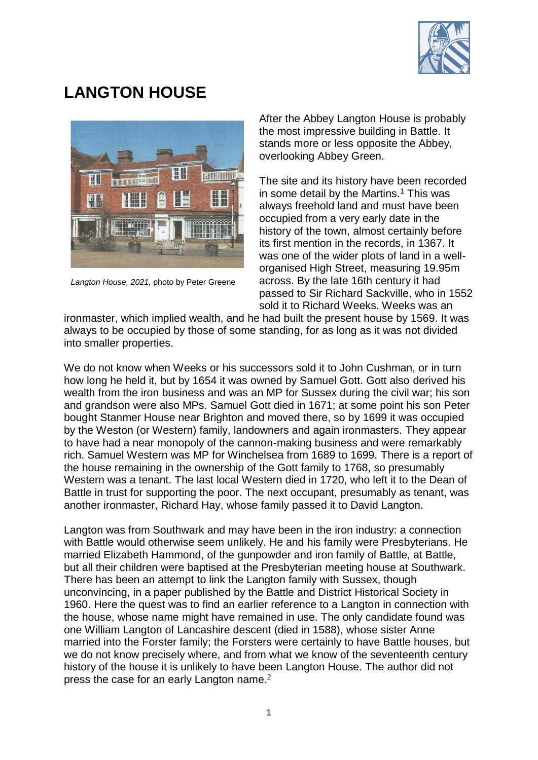

## **LANGTON HOUSE**



*Langton House, 2021,* photo by Peter Greene

After the Abbey Langton House is probably the most impressive building in Battle. It stands more or less opposite the Abbey, overlooking Abbey Green.

The site and its history have been recorded in some detail by the Martins.<sup>1</sup> This was always freehold land and must have been occupied from a very early date in the history of the town, almost certainly before its first mention in the records, in 1367. It was one of the wider plots of land in a wellorganised High Street, measuring 19.95m across. By the late 16th century it had passed to Sir Richard Sackville, who in 1552 sold it to Richard Weeks. Weeks was an

ironmaster, which implied wealth, and he had built the present house by 1569. It was always to be occupied by those of some standing, for as long as it was not divided into smaller properties.

We do not know when Weeks or his successors sold it to John Cushman, or in turn how long he held it, but by 1654 it was owned by Samuel Gott. Gott also derived his wealth from the iron business and was an MP for Sussex during the civil war; his son and grandson were also MPs. Samuel Gott died in 1671; at some point his son Peter bought Stanmer House near Brighton and moved there, so by 1699 it was occupied by the Weston (or Western) family, landowners and again ironmasters. They appear to have had a near monopoly of the cannon-making business and were remarkably rich. Samuel Western was MP for Winchelsea from 1689 to 1699. There is a report of the house remaining in the ownership of the Gott family to 1768, so presumably Western was a tenant. The last local Western died in 1720, who left it to the Dean of Battle in trust for supporting the poor. The next occupant, presumably as tenant, was another ironmaster, Richard Hay, whose family passed it to David Langton.

Langton was from Southwark and may have been in the iron industry: a connection with Battle would otherwise seem unlikely. He and his family were Presbyterians. He married Elizabeth Hammond, of the gunpowder and iron family of Battle, at Battle, but all their children were baptised at the Presbyterian meeting house at Southwark. There has been an attempt to link the Langton family with Sussex, though unconvincing, in a paper published by the Battle and District Historical Society in 1960. Here the quest was to find an earlier reference to a Langton in connection with the house, whose name might have remained in use. The only candidate found was one William Langton of Lancashire descent (died in 1588), whose sister Anne married into the Forster family; the Forsters were certainly to have Battle houses, but we do not know precisely where, and from what we know of the seventeenth century history of the house it is unlikely to have been Langton House. The author did not press the case for an early Langton name.<sup>2</sup>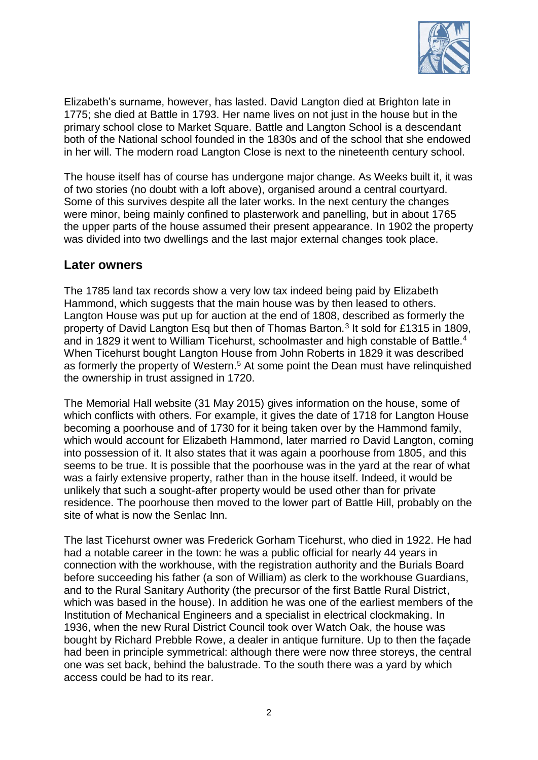

Elizabeth's surname, however, has lasted. David Langton died at Brighton late in 1775; she died at Battle in 1793. Her name lives on not just in the house but in the primary school close to Market Square. Battle and Langton School is a descendant both of the National school founded in the 1830s and of the school that she endowed in her will. The modern road Langton Close is next to the nineteenth century school.

The house itself has of course has undergone major change. As Weeks built it, it was of two stories (no doubt with a loft above), organised around a central courtyard. Some of this survives despite all the later works. In the next century the changes were minor, being mainly confined to plasterwork and panelling, but in about 1765 the upper parts of the house assumed their present appearance. In 1902 the property was divided into two dwellings and the last major external changes took place.

## **Later owners**

The 1785 land tax records show a very low tax indeed being paid by Elizabeth Hammond, which suggests that the main house was by then leased to others. Langton House was put up for auction at the end of 1808, described as formerly the property of David Langton Esq but then of Thomas Barton.<sup>3</sup> It sold for £1315 in 1809, and in 1829 it went to William Ticehurst, schoolmaster and high constable of Battle.<sup>4</sup> When Ticehurst bought Langton House from John Roberts in 1829 it was described as formerly the property of Western.<sup>5</sup> At some point the Dean must have relinquished the ownership in trust assigned in 1720.

The Memorial Hall website (31 May 2015) gives information on the house, some of which conflicts with others. For example, it gives the date of 1718 for Langton House becoming a poorhouse and of 1730 for it being taken over by the Hammond family, which would account for Elizabeth Hammond, later married ro David Langton, coming into possession of it. It also states that it was again a poorhouse from 1805, and this seems to be true. It is possible that the poorhouse was in the yard at the rear of what was a fairly extensive property, rather than in the house itself. Indeed, it would be unlikely that such a sought-after property would be used other than for private residence. The poorhouse then moved to the lower part of Battle Hill, probably on the site of what is now the Senlac Inn.

The last Ticehurst owner was Frederick Gorham Ticehurst, who died in 1922. He had had a notable career in the town: he was a public official for nearly 44 years in connection with the workhouse, with the registration authority and the Burials Board before succeeding his father (a son of William) as clerk to the workhouse Guardians, and to the Rural Sanitary Authority (the precursor of the first Battle Rural District, which was based in the house). In addition he was one of the earliest members of the Institution of Mechanical Engineers and a specialist in electrical clockmaking. In 1936, when the new Rural District Council took over Watch Oak, the house was bought by Richard Prebble Rowe, a dealer in antique furniture. Up to then the façade had been in principle symmetrical: although there were now three storeys, the central one was set back, behind the balustrade. To the south there was a yard by which access could be had to its rear.